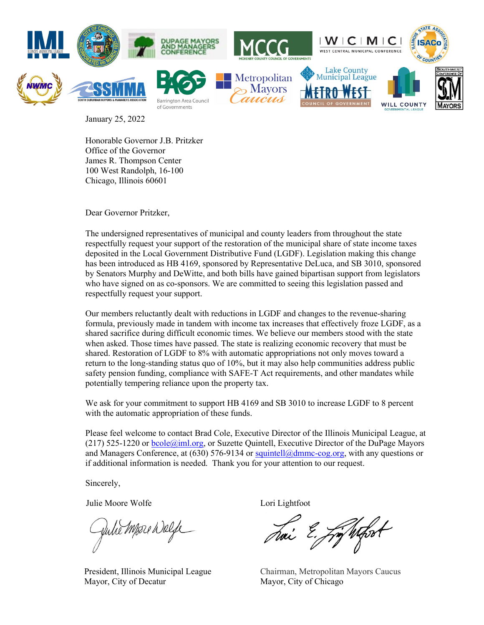

January 25, 2022

Honorable Governor J.B. Pritzker Office of the Governor James R. Thompson Center 100 West Randolph, 16-100 Chicago, Illinois 60601

Dear Governor Pritzker,

The undersigned representatives of municipal and county leaders from throughout the state respectfully request your support of the restoration of the municipal share of state income taxes deposited in the Local Government Distributive Fund (LGDF). Legislation making this change has been introduced as HB 4169, sponsored by Representative DeLuca, and SB 3010, sponsored by Senators Murphy and DeWitte, and both bills have gained bipartisan support from legislators who have signed on as co-sponsors. We are committed to seeing this legislation passed and respectfully request your support.

Our members reluctantly dealt with reductions in LGDF and changes to the revenue-sharing formula, previously made in tandem with income tax increases that effectively froze LGDF, as a shared sacrifice during difficult economic times. We believe our members stood with the state when asked. Those times have passed. The state is realizing economic recovery that must be shared. Restoration of LGDF to 8% with automatic appropriations not only moves toward a return to the long-standing status quo of 10%, but it may also help communities address public safety pension funding, compliance with SAFE-T Act requirements, and other mandates while potentially tempering reliance upon the property tax.

We ask for your commitment to support HB 4169 and SB 3010 to increase LGDF to 8 percent with the automatic appropriation of these funds.

Please feel welcome to contact Brad Cole, Executive Director of the Illinois Municipal League, at  $(217)$  525-1220 or bcole $@iml.org$ , or Suzette Quintell, Executive Director of the DuPage Mayors and Managers Conference, at (630) 576-9134 or [squintell@dmmc-cog.org,](mailto:squintell@dmmc-cog.org) with any questions or if additional information is needed. Thank you for your attention to our request.

Sincerely,

Julie Moore Wolfe Lori Lightfoot

Juhé Mose Welfe

President, Illinois Municipal League Mayor, City of Decatur

Ly Whood

Chairman, Metropolitan Mayors Caucus Mayor, City of Chicago